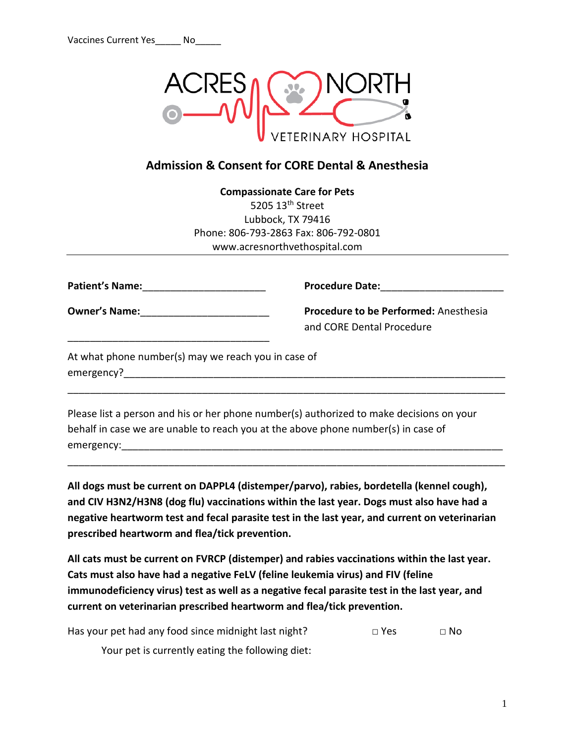

## **Admission & Consent for CORE Dental & Anesthesia**

**Compassionate Care for Pets** 5205 13<sup>th</sup> Street Lubbock, TX 79416 Phone: 806-793-2863 Fax: 806-792-0801 www.acresnorthvethospital.com

**Patient's Name:**\_\_\_\_\_\_\_\_\_\_\_\_\_\_\_\_\_\_\_\_\_\_

**Owner's Name:**\_\_\_\_\_\_\_\_\_\_\_\_\_\_\_\_\_\_\_\_\_\_\_

\_\_\_\_\_\_\_\_\_\_\_\_\_\_\_\_\_\_\_\_\_\_\_\_\_\_\_\_\_\_\_\_\_\_\_\_

**Procedure Date:**\_\_\_\_\_\_\_\_\_\_\_\_\_\_\_\_\_\_\_\_\_\_

**Procedure to be Performed:** Anesthesia and CORE Dental Procedure

| At what phone number(s) may we reach you in case of |  |
|-----------------------------------------------------|--|
| emergency?                                          |  |

Please list a person and his or her phone number(s) authorized to make decisions on your behalf in case we are unable to reach you at the above phone number(s) in case of emergency:\_\_\_\_\_\_\_\_\_\_\_\_\_\_\_\_\_\_\_\_\_\_\_\_\_\_\_\_\_\_\_\_\_\_\_\_\_\_\_\_\_\_\_\_\_\_\_\_\_\_\_\_\_\_\_\_\_\_\_\_\_\_\_\_\_\_\_\_

\_\_\_\_\_\_\_\_\_\_\_\_\_\_\_\_\_\_\_\_\_\_\_\_\_\_\_\_\_\_\_\_\_\_\_\_\_\_\_\_\_\_\_\_\_\_\_\_\_\_\_\_\_\_\_\_\_\_\_\_\_\_\_\_\_\_\_\_\_\_\_\_\_\_\_\_\_\_

**All dogs must be current on DAPPL4 (distemper/parvo), rabies, bordetella (kennel cough), and CIV H3N2/H3N8 (dog flu) vaccinations within the last year. Dogs must also have had a negative heartworm test and fecal parasite test in the last year, and current on veterinarian prescribed heartworm and flea/tick prevention.**

\_\_\_\_\_\_\_\_\_\_\_\_\_\_\_\_\_\_\_\_\_\_\_\_\_\_\_\_\_\_\_\_\_\_\_\_\_\_\_\_\_\_\_\_\_\_\_\_\_\_\_\_\_\_\_\_\_\_\_\_\_\_\_\_\_\_\_\_\_\_\_\_\_\_\_\_\_\_

**All cats must be current on FVRCP (distemper) and rabies vaccinations within the last year. Cats must also have had a negative FeLV (feline leukemia virus) and FIV (feline immunodeficiency virus) test as well as a negative fecal parasite test in the last year, and current on veterinarian prescribed heartworm and flea/tick prevention.**

Has your pet had any food since midnight last night?  $\Box$  Yes  $\Box$  No

Your pet is currently eating the following diet: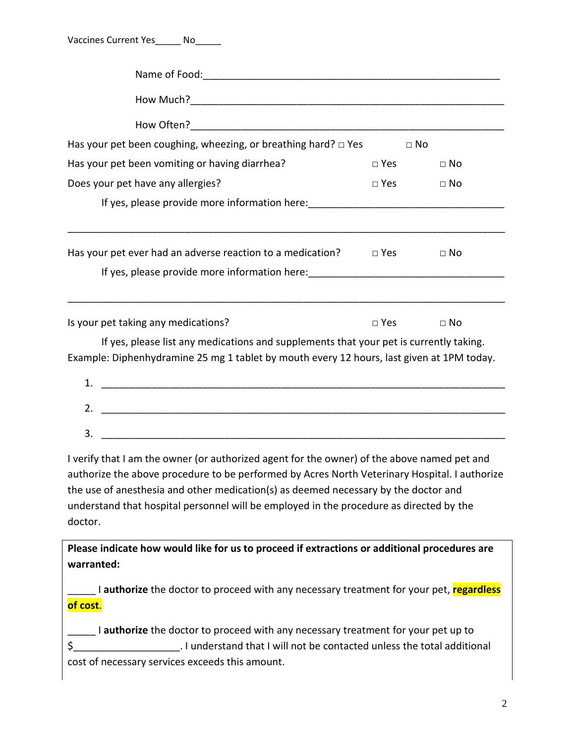| <b>Vaccines Current Yes</b> |  | No |
|-----------------------------|--|----|
|                             |  |    |

| Has your pet been coughing, wheezing, or breathing hard? $\square$ Yes                                         | in the District District District District District District District District District District District District District District District District District District District District District District District Distric |                         |  |
|----------------------------------------------------------------------------------------------------------------|-------------------------------------------------------------------------------------------------------------------------------------------------------------------------------------------------------------------------------|-------------------------|--|
| Has your pet been vomiting or having diarrhea?                                                                 | $\Box$ Yes                                                                                                                                                                                                                    | $\Box$ No               |  |
| Does your pet have any allergies?                                                                              | $\Box$ Yes                                                                                                                                                                                                                    | $\Box$ No               |  |
| If yes, please provide more information here: __________________________________                               |                                                                                                                                                                                                                               |                         |  |
| Has your pet ever had an adverse reaction to a medication? $\Box$ Yes                                          |                                                                                                                                                                                                                               | $\Box$ No               |  |
| If yes, please provide more information here: 1999 and 1999 and 1999 and 1999 and 1999 and 1999 and 1999 and 1 |                                                                                                                                                                                                                               |                         |  |
|                                                                                                                |                                                                                                                                                                                                                               |                         |  |
| Is your pet taking any medications?                                                                            |                                                                                                                                                                                                                               | $\Box$ Yes<br>$\Box$ No |  |
| If yes, please list any medications and supplements that your pet is currently taking.                         |                                                                                                                                                                                                                               |                         |  |
| Example: Diphenhydramine 25 mg 1 tablet by mouth every 12 hours, last given at 1PM today.                      |                                                                                                                                                                                                                               |                         |  |
| $\mathbf{1}$                                                                                                   |                                                                                                                                                                                                                               |                         |  |

| -<br>۷.       |  |  |  |
|---------------|--|--|--|
| -<br>-4<br>.ر |  |  |  |

I verify that I am the owner (or authorized agent for the owner) of the above named pet and authorize the above procedure to be performed by Acres North Veterinary Hospital. I authorize the use of anesthesia and other medication(s) as deemed necessary by the doctor and understand that hospital personnel will be employed in the procedure as directed by the doctor.

**Please indicate how would like for us to proceed if extractions or additional procedures are warranted:**

\_\_\_\_\_ I **authorize** the doctor to proceed with any necessary treatment for your pet, **regardless of cost**.

\_\_\_\_\_ I **authorize** the doctor to proceed with any necessary treatment for your pet up to \$\_\_\_\_\_\_\_\_\_\_\_\_\_\_\_\_\_\_\_. I understand that I will not be contacted unless the total additional cost of necessary services exceeds this amount.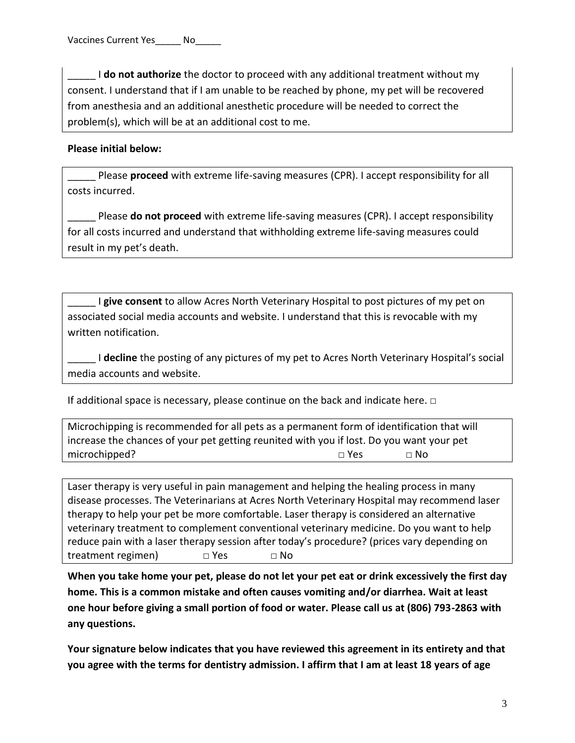\_\_\_\_\_ I **do not authorize** the doctor to proceed with any additional treatment without my consent. I understand that if I am unable to be reached by phone, my pet will be recovered from anesthesia and an additional anesthetic procedure will be needed to correct the problem(s), which will be at an additional cost to me.

## **Please initial below:**

Please **proceed** with extreme life-saving measures (CPR). I accept responsibility for all costs incurred.

Please **do not proceed** with extreme life-saving measures (CPR). I accept responsibility for all costs incurred and understand that withholding extreme life-saving measures could result in my pet's death.

\_\_\_\_\_ I **give consent** to allow Acres North Veterinary Hospital to post pictures of my pet on associated social media accounts and website. I understand that this is revocable with my written notification.

\_\_\_\_\_ I **decline** the posting of any pictures of my pet to Acres North Veterinary Hospital's social media accounts and website.

If additional space is necessary, please continue on the back and indicate here.  $\Box$ 

Microchipping is recommended for all pets as a permanent form of identification that will increase the chances of your pet getting reunited with you if lost. Do you want your pet microchipped? □ Yes □ No

Laser therapy is very useful in pain management and helping the healing process in many disease processes. The Veterinarians at Acres North Veterinary Hospital may recommend laser therapy to help your pet be more comfortable. Laser therapy is considered an alternative veterinary treatment to complement conventional veterinary medicine. Do you want to help reduce pain with a laser therapy session after today's procedure? (prices vary depending on treatment regimen) □ Yes □ No

**When you take home your pet, please do not let your pet eat or drink excessively the first day home. This is a common mistake and often causes vomiting and/or diarrhea. Wait at least one hour before giving a small portion of food or water. Please call us at (806) 793-2863 with any questions.**

**Your signature below indicates that you have reviewed this agreement in its entirety and that you agree with the terms for dentistry admission. I affirm that I am at least 18 years of age**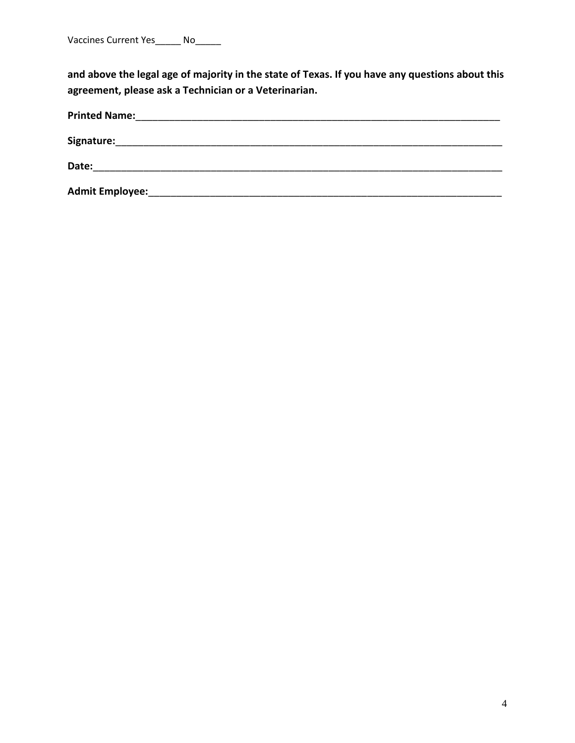**and above the legal age of majority in the state of Texas. If you have any questions about this agreement, please ask a Technician or a Veterinarian.**

| <b>Printed Name:</b>   |  |  |
|------------------------|--|--|
| Signature:             |  |  |
| Date:                  |  |  |
| <b>Admit Employee:</b> |  |  |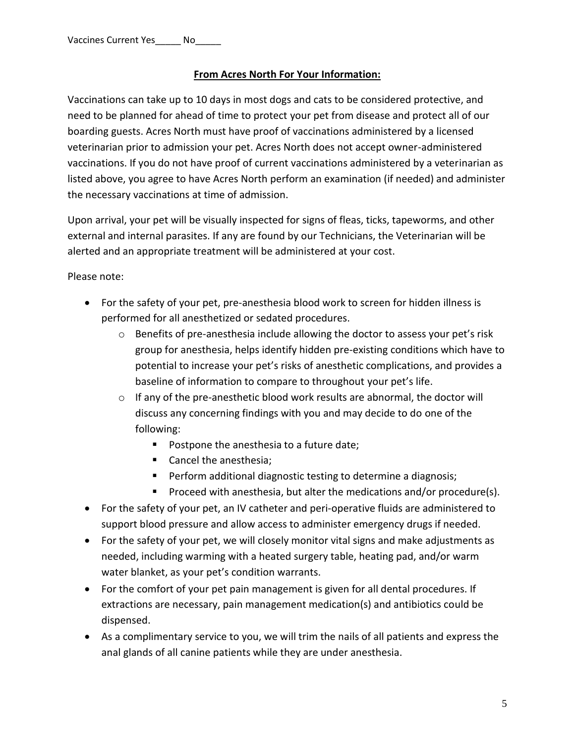## **From Acres North For Your Information:**

Vaccinations can take up to 10 days in most dogs and cats to be considered protective, and need to be planned for ahead of time to protect your pet from disease and protect all of our boarding guests. Acres North must have proof of vaccinations administered by a licensed veterinarian prior to admission your pet. Acres North does not accept owner-administered vaccinations. If you do not have proof of current vaccinations administered by a veterinarian as listed above, you agree to have Acres North perform an examination (if needed) and administer the necessary vaccinations at time of admission.

Upon arrival, your pet will be visually inspected for signs of fleas, ticks, tapeworms, and other external and internal parasites. If any are found by our Technicians, the Veterinarian will be alerted and an appropriate treatment will be administered at your cost.

Please note:

- For the safety of your pet, pre-anesthesia blood work to screen for hidden illness is performed for all anesthetized or sedated procedures.
	- $\circ$  Benefits of pre-anesthesia include allowing the doctor to assess your pet's risk group for anesthesia, helps identify hidden pre-existing conditions which have to potential to increase your pet's risks of anesthetic complications, and provides a baseline of information to compare to throughout your pet's life.
	- o If any of the pre-anesthetic blood work results are abnormal, the doctor will discuss any concerning findings with you and may decide to do one of the following:
		- Postpone the anesthesia to a future date;
		- Cancel the anesthesia;
		- Perform additional diagnostic testing to determine a diagnosis;
		- Proceed with anesthesia, but alter the medications and/or procedure(s).
- For the safety of your pet, an IV catheter and peri-operative fluids are administered to support blood pressure and allow access to administer emergency drugs if needed.
- For the safety of your pet, we will closely monitor vital signs and make adjustments as needed, including warming with a heated surgery table, heating pad, and/or warm water blanket, as your pet's condition warrants.
- For the comfort of your pet pain management is given for all dental procedures. If extractions are necessary, pain management medication(s) and antibiotics could be dispensed.
- As a complimentary service to you, we will trim the nails of all patients and express the anal glands of all canine patients while they are under anesthesia.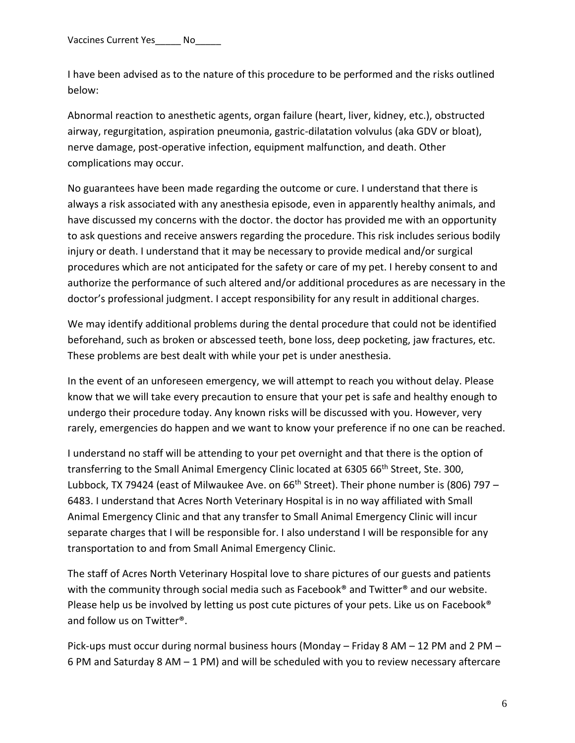I have been advised as to the nature of this procedure to be performed and the risks outlined below:

Abnormal reaction to anesthetic agents, organ failure (heart, liver, kidney, etc.), obstructed airway, regurgitation, aspiration pneumonia, gastric-dilatation volvulus (aka GDV or bloat), nerve damage, post-operative infection, equipment malfunction, and death. Other complications may occur.

No guarantees have been made regarding the outcome or cure. I understand that there is always a risk associated with any anesthesia episode, even in apparently healthy animals, and have discussed my concerns with the doctor. the doctor has provided me with an opportunity to ask questions and receive answers regarding the procedure. This risk includes serious bodily injury or death. I understand that it may be necessary to provide medical and/or surgical procedures which are not anticipated for the safety or care of my pet. I hereby consent to and authorize the performance of such altered and/or additional procedures as are necessary in the doctor's professional judgment. I accept responsibility for any result in additional charges.

We may identify additional problems during the dental procedure that could not be identified beforehand, such as broken or abscessed teeth, bone loss, deep pocketing, jaw fractures, etc. These problems are best dealt with while your pet is under anesthesia.

In the event of an unforeseen emergency, we will attempt to reach you without delay. Please know that we will take every precaution to ensure that your pet is safe and healthy enough to undergo their procedure today. Any known risks will be discussed with you. However, very rarely, emergencies do happen and we want to know your preference if no one can be reached.

I understand no staff will be attending to your pet overnight and that there is the option of transferring to the Small Animal Emergency Clinic located at 6305 66<sup>th</sup> Street, Ste. 300, Lubbock, TX 79424 (east of Milwaukee Ave. on  $66<sup>th</sup>$  Street). Their phone number is (806) 797 – 6483. I understand that Acres North Veterinary Hospital is in no way affiliated with Small Animal Emergency Clinic and that any transfer to Small Animal Emergency Clinic will incur separate charges that I will be responsible for. I also understand I will be responsible for any transportation to and from Small Animal Emergency Clinic.

The staff of Acres North Veterinary Hospital love to share pictures of our guests and patients with the community through social media such as Facebook<sup>®</sup> and Twitter<sup>®</sup> and our website. Please help us be involved by letting us post cute pictures of your pets. Like us on Facebook® and follow us on Twitter®.

Pick-ups must occur during normal business hours (Monday – Friday 8 AM – 12 PM and 2 PM – 6 PM and Saturday 8 AM – 1 PM) and will be scheduled with you to review necessary aftercare